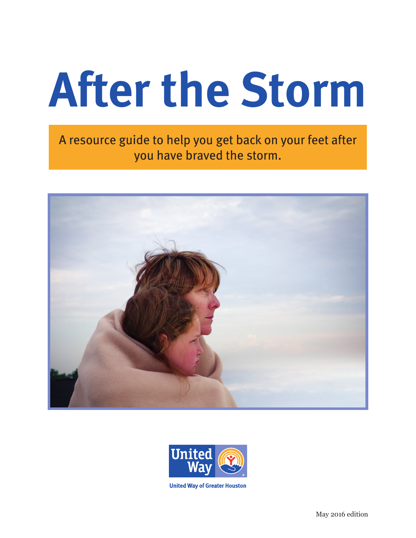# **After the Storm**

A resource guide to help you get back on your feet after you have braved the storm.





**United Way of Greater Houston**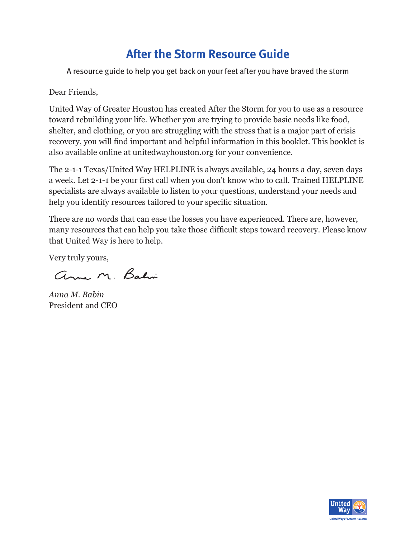# **After the Storm Resource Guide**

A resource guide to help you get back on your feet after you have braved the storm

Dear Friends,

United Way of Greater Houston has created After the Storm for you to use as a resource toward rebuilding your life. Whether you are trying to provide basic needs like food, shelter, and clothing, or you are struggling with the stress that is a major part of crisis recovery, you will find important and helpful information in this booklet. This booklet is also available online at unitedwayhouston.org for your convenience.

The 2-1-1 Texas/United Way HELPLINE is always available, 24 hours a day, seven days a week. Let 2-1-1 be your first call when you don't know who to call. Trained HELPLINE specialists are always available to listen to your questions, understand your needs and help you identify resources tailored to your specific situation.

There are no words that can ease the losses you have experienced. There are, however, many resources that can help you take those difficult steps toward recovery. Please know that United Way is here to help.

Very truly yours,

anne M. Bahi

*Anna M. Babin* President and CEO

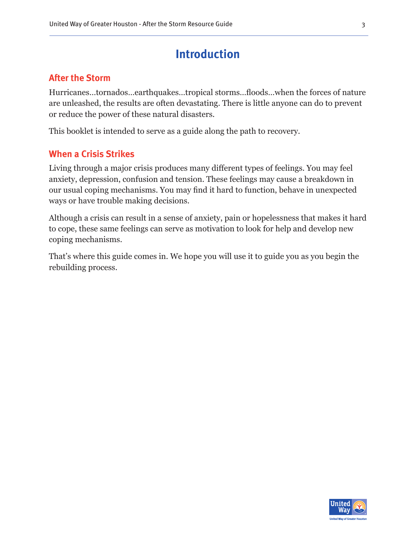### **Introduction**

#### **After the Storm**

Hurricanes…tornados…earthquakes…tropical storms…floods…when the forces of nature are unleashed, the results are often devastating. There is little anyone can do to prevent or reduce the power of these natural disasters.

This booklet is intended to serve as a guide along the path to recovery.

#### **When a Crisis Strikes**

Living through a major crisis produces many different types of feelings. You may feel anxiety, depression, confusion and tension. These feelings may cause a breakdown in our usual coping mechanisms. You may find it hard to function, behave in unexpected ways or have trouble making decisions.

Although a crisis can result in a sense of anxiety, pain or hopelessness that makes it hard to cope, these same feelings can serve as motivation to look for help and develop new coping mechanisms.

That's where this guide comes in. We hope you will use it to guide you as you begin the rebuilding process.

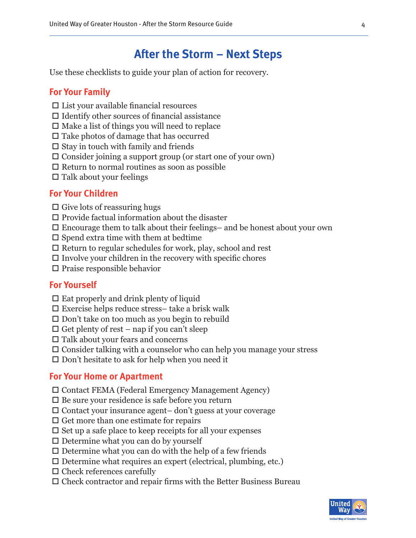# **After the Storm – Next Steps**

Use these checklists to guide your plan of action for recovery.

#### **For Your Family**

- $\square$  List your available financial resources
- $\Box$  Identify other sources of financial assistance
- $\Box$  Make a list of things you will need to replace
- $\Box$  Take photos of damage that has occurred
- $\square$  Stay in touch with family and friends
- $\square$  Consider joining a support group (or start one of your own)
- $\square$  Return to normal routines as soon as possible
- $\Box$  Talk about your feelings

#### **For Your Children**

- $\square$  Give lots of reassuring hugs
- $\square$  Provide factual information about the disaster
- $\square$  Encourage them to talk about their feelings– and be honest about your own
- $\square$  Spend extra time with them at bedtime
- $\Box$  Return to regular schedules for work, play, school and rest
- $\square$  Involve your children in the recovery with specific chores
- $\square$  Praise responsible behavior

#### **For Yourself**

- $\square$  Eat properly and drink plenty of liquid
- $\square$  Exercise helps reduce stress– take a brisk walk
- $\Box$  Don't take on too much as you begin to rebuild
- $\Box$  Get plenty of rest nap if you can't sleep
- $\square$  Talk about your fears and concerns
- Consider talking with a counselor who can help you manage your stress
- $\square$  Don't hesitate to ask for help when you need it

#### **For Your Home or Apartment**

- Contact FEMA (Federal Emergency Management Agency)
- $\square$  Be sure your residence is safe before you return
- $\Box$  Contact your insurance agent– don't guess at your coverage
- $\square$  Get more than one estimate for repairs
- $\square$  Set up a safe place to keep receipts for all your expenses
- $\square$  Determine what you can do by yourself
- $\square$  Determine what you can do with the help of a few friends
- $\square$  Determine what requires an expert (electrical, plumbing, etc.)
- $\square$  Check references carefully
- $\square$  Check contractor and repair firms with the Better Business Bureau

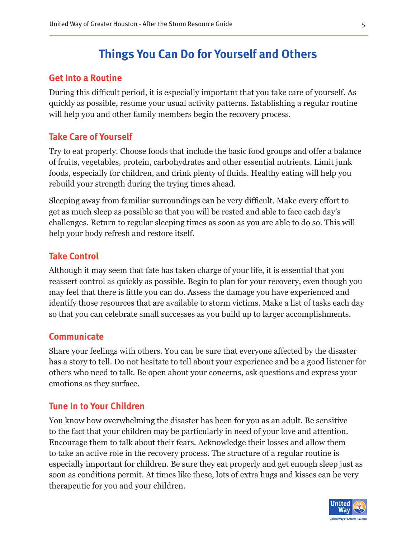# **Things You Can Do for Yourself and Others**

#### **Get Into a Routine**

During this difficult period, it is especially important that you take care of yourself. As quickly as possible, resume your usual activity patterns. Establishing a regular routine will help you and other family members begin the recovery process.

#### **Take Care of Yourself**

Try to eat properly. Choose foods that include the basic food groups and offer a balance of fruits, vegetables, protein, carbohydrates and other essential nutrients. Limit junk foods, especially for children, and drink plenty of fluids. Healthy eating will help you rebuild your strength during the trying times ahead.

Sleeping away from familiar surroundings can be very difficult. Make every effort to get as much sleep as possible so that you will be rested and able to face each day's challenges. Return to regular sleeping times as soon as you are able to do so. This will help your body refresh and restore itself.

#### **Take Control**

Although it may seem that fate has taken charge of your life, it is essential that you reassert control as quickly as possible. Begin to plan for your recovery, even though you may feel that there is little you can do. Assess the damage you have experienced and identify those resources that are available to storm victims. Make a list of tasks each day so that you can celebrate small successes as you build up to larger accomplishments.

#### **Communicate**

Share your feelings with others. You can be sure that everyone affected by the disaster has a story to tell. Do not hesitate to tell about your experience and be a good listener for others who need to talk. Be open about your concerns, ask questions and express your emotions as they surface.

#### **Tune In to Your Children**

You know how overwhelming the disaster has been for you as an adult. Be sensitive to the fact that your children may be particularly in need of your love and attention. Encourage them to talk about their fears. Acknowledge their losses and allow them to take an active role in the recovery process. The structure of a regular routine is especially important for children. Be sure they eat properly and get enough sleep just as soon as conditions permit. At times like these, lots of extra hugs and kisses can be very therapeutic for you and your children.

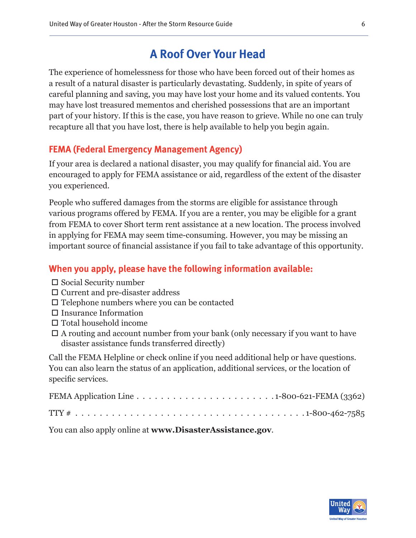# **A Roof Over Your Head**

The experience of homelessness for those who have been forced out of their homes as a result of a natural disaster is particularly devastating. Suddenly, in spite of years of careful planning and saving, you may have lost your home and its valued contents. You may have lost treasured mementos and cherished possessions that are an important part of your history. If this is the case, you have reason to grieve. While no one can truly recapture all that you have lost, there is help available to help you begin again.

#### **FEMA (Federal Emergency Management Agency)**

If your area is declared a national disaster, you may qualify for financial aid. You are encouraged to apply for FEMA assistance or aid, regardless of the extent of the disaster you experienced.

People who suffered damages from the storms are eligible for assistance through various programs offered by FEMA. If you are a renter, you may be eligible for a grant from FEMA to cover Short term rent assistance at a new location. The process involved in applying for FEMA may seem time-consuming. However, you may be missing an important source of financial assistance if you fail to take advantage of this opportunity.

#### **When you apply, please have the following information available:**

- $\square$  Social Security number
- $\Box$  Current and pre-disaster address
- $\square$  Telephone numbers where you can be contacted
- $\square$  Insurance Information
- $\Box$  Total household income
- $\Box$  A routing and account number from your bank (only necessary if you want to have disaster assistance funds transferred directly)

Call the FEMA Helpline or check online if you need additional help or have questions. You can also learn the status of an application, additional services, or the location of specific services.

| FEMA Application Line $\ldots \ldots \ldots \ldots \ldots \ldots \ldots \ldots \ldots 1$ -800-621-FEMA (3362) |  |
|---------------------------------------------------------------------------------------------------------------|--|
|                                                                                                               |  |

You can also apply online at **www.DisasterAssistance.gov**.

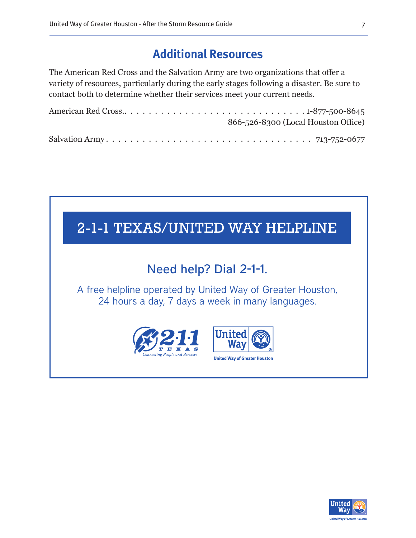# **Additional Resources**

The American Red Cross and the Salvation Army are two organizations that offer a variety of resources, particularly during the early stages following a disaster. Be sure to contact both to determine whether their services meet your current needs.

| 866-526-8300 (Local Houston Office) |
|-------------------------------------|
|                                     |



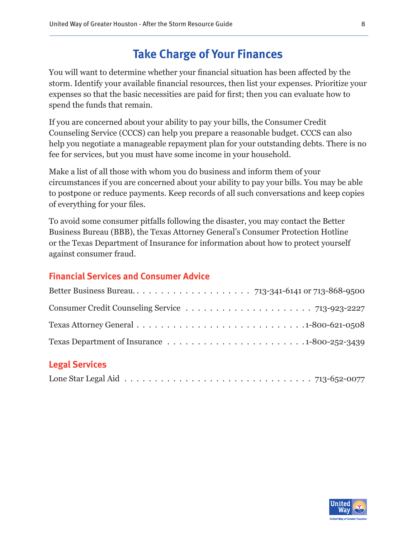# **Take Charge of Your Finances**

You will want to determine whether your financial situation has been affected by the storm. Identify your available financial resources, then list your expenses. Prioritize your expenses so that the basic necessities are paid for first; then you can evaluate how to spend the funds that remain.

If you are concerned about your ability to pay your bills, the Consumer Credit Counseling Service (CCCS) can help you prepare a reasonable budget. CCCS can also help you negotiate a manageable repayment plan for your outstanding debts. There is no fee for services, but you must have some income in your household.

Make a list of all those with whom you do business and inform them of your circumstances if you are concerned about your ability to pay your bills. You may be able to postpone or reduce payments. Keep records of all such conversations and keep copies of everything for your files.

To avoid some consumer pitfalls following the disaster, you may contact the Better Business Bureau (BBB), the Texas Attorney General's Consumer Protection Hotline or the Texas Department of Insurance for information about how to protect yourself against consumer fraud.

#### **Financial Services and Consumer Advice**

| Texas Attorney General $\ldots \ldots \ldots \ldots \ldots \ldots \ldots \ldots \ldots \ldots \ldots 1-800-621-0508$ |
|----------------------------------------------------------------------------------------------------------------------|
|                                                                                                                      |

#### **Legal Services**

|--|--|--|--|--|--|--|--|--|--|--|--|--|--|--|--|--|--|--|--|--|--|--|--|--|--|--|--|

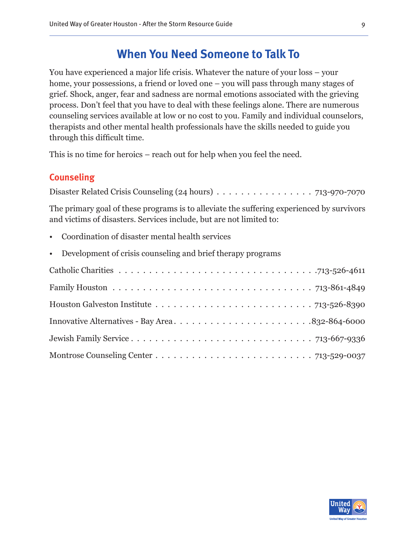## **When You Need Someone to Talk To**

You have experienced a major life crisis. Whatever the nature of your loss – your home, your possessions, a friend or loved one – you will pass through many stages of grief. Shock, anger, fear and sadness are normal emotions associated with the grieving process. Don't feel that you have to deal with these feelings alone. There are numerous counseling services available at low or no cost to you. Family and individual counselors, therapists and other mental health professionals have the skills needed to guide you through this difficult time.

This is no time for heroics – reach out for help when you feel the need.

#### **Counseling**

Disaster Related Crisis Counseling (24 hours) . .713-970-7070

The primary goal of these programs is to alleviate the suffering experienced by survivors and victims of disasters. Services include, but are not limited to:

- Coordination of disaster mental health services
- Development of crisis counseling and brief therapy programs

| Houston Galveston Institute $\ldots \ldots \ldots \ldots \ldots \ldots \ldots \ldots \ldots$ 713-526-8390 |  |
|-----------------------------------------------------------------------------------------------------------|--|
| Innovative Alternatives - Bay Area832-864-6000                                                            |  |
|                                                                                                           |  |
|                                                                                                           |  |

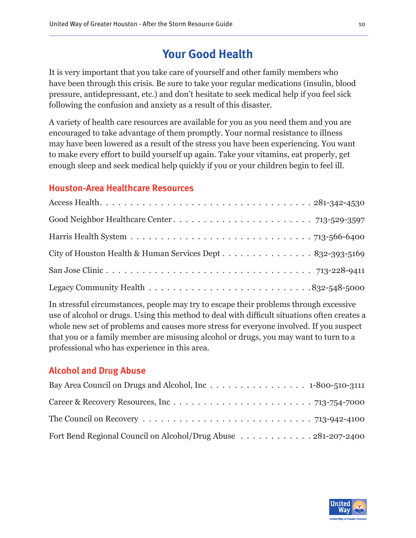# **Your Good Health**

It is very important that you take care of yourself and other family members who have been through this crisis. Be sure to take your regular medications (insulin, blood pressure, antidepressant, etc.) and don't hesitate to seek medical help if you feel sick following the confusion and anxiety as a result of this disaster.

A variety of health care resources are available for you as you need them and you are encouraged to take advantage of them promptly. Your normal resistance to illness may have been lowered as a result of the stress you have been experiencing. You want to make every effort to build yourself up again. Take your vitamins, eat properly, get enough sleep and seek medical help quickly if you or your children begin to feel ill.

#### **Houston-Area Healthcare Resources**

In stressful circumstances, people may try to escape their problems through excessive use of alcohol or drugs. Using this method to deal with difficult situations often creates a whole new set of problems and causes more stress for everyone involved. If you suspect that you or a family member are misusing alcohol or drugs, you may want to turn to a professional who has experience in this area.

#### **Alcohol and Drug Abuse**

| The Council on Recovery $\dots \dots \dots \dots \dots \dots \dots \dots \dots \dots \dots$ 713-942-4100 |  |
|----------------------------------------------------------------------------------------------------------|--|
| Fort Bend Regional Council on Alcohol/Drug Abuse 281-207-2400                                            |  |

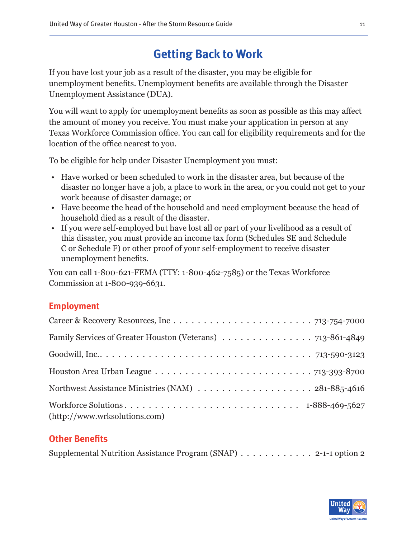# **Getting Back to Work**

If you have lost your job as a result of the disaster, you may be eligible for unemployment benefits. Unemployment benefits are available through the Disaster Unemployment Assistance (DUA).

You will want to apply for unemployment benefits as soon as possible as this may affect the amount of money you receive. You must make your application in person at any Texas Workforce Commission office. You can call for eligibility requirements and for the location of the office nearest to you.

To be eligible for help under Disaster Unemployment you must:

- Have worked or been scheduled to work in the disaster area, but because of the disaster no longer have a job, a place to work in the area, or you could not get to your work because of disaster damage; or
- Have become the head of the household and need employment because the head of household died as a result of the disaster.
- If you were self-employed but have lost all or part of your livelihood as a result of this disaster, you must provide an income tax form (Schedules SE and Schedule C or Schedule F) or other proof of your self-employment to receive disaster unemployment benefits.

You can call 1-800-621-FEMA (TTY: 1-800-462-7585) or the Texas Workforce Commission at 1-800-939-6631.

#### **Employment**

| Family Services of Greater Houston (Veterans) 713-861-4849                                              |  |
|---------------------------------------------------------------------------------------------------------|--|
|                                                                                                         |  |
| Houston Area Urban League $\ldots \ldots \ldots \ldots \ldots \ldots \ldots \ldots \ldots$ 713-393-8700 |  |
|                                                                                                         |  |
| (http://www.wrksolutions.com)                                                                           |  |

#### **Other Benefits**

Supplemental Nutrition Assistance Program  $(SNAP)$ ............. 2-1-1 option 2

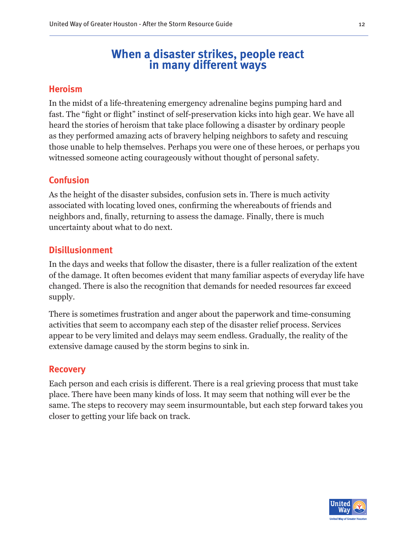# **When a disaster strikes, people react in many different ways**

#### **Heroism**

In the midst of a life-threatening emergency adrenaline begins pumping hard and fast. The "fight or flight" instinct of self-preservation kicks into high gear. We have all heard the stories of heroism that take place following a disaster by ordinary people as they performed amazing acts of bravery helping neighbors to safety and rescuing those unable to help themselves. Perhaps you were one of these heroes, or perhaps you witnessed someone acting courageously without thought of personal safety.

#### **Confusion**

As the height of the disaster subsides, confusion sets in. There is much activity associated with locating loved ones, confirming the whereabouts of friends and neighbors and, finally, returning to assess the damage. Finally, there is much uncertainty about what to do next.

#### **Disillusionment**

In the days and weeks that follow the disaster, there is a fuller realization of the extent of the damage. It often becomes evident that many familiar aspects of everyday life have changed. There is also the recognition that demands for needed resources far exceed supply.

There is sometimes frustration and anger about the paperwork and time-consuming activities that seem to accompany each step of the disaster relief process. Services appear to be very limited and delays may seem endless. Gradually, the reality of the extensive damage caused by the storm begins to sink in.

#### **Recovery**

Each person and each crisis is different. There is a real grieving process that must take place. There have been many kinds of loss. It may seem that nothing will ever be the same. The steps to recovery may seem insurmountable, but each step forward takes you closer to getting your life back on track.

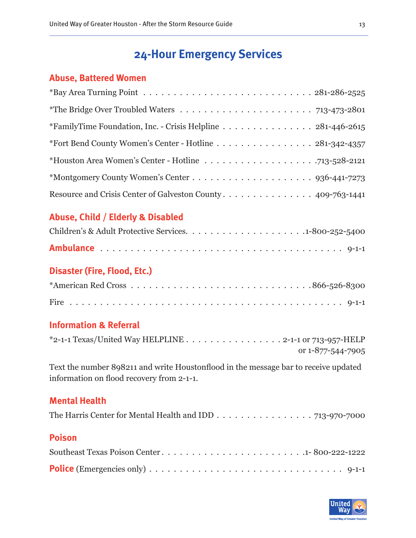# **24-Hour Emergency Services**

#### **Abuse, Battered Women**

| *FamilyTime Foundation, Inc. - Crisis Helpline 281-446-2615 |  |
|-------------------------------------------------------------|--|
| *Fort Bend County Women's Center - Hotline 281-342-4357     |  |
|                                                             |  |
|                                                             |  |
| Resource and Crisis Center of Galveston County 409-763-1441 |  |

#### **Abuse, Child / Elderly & Disabled**

#### **Disaster (Fire, Flood, Etc.)**

#### **Information & Referral**

| $*$ 2-1-1 Texas/United Way HELPLINE 2-1-1 or 713-957-HELP |
|-----------------------------------------------------------|
| or 1-877-544-7905                                         |

Text the number 898211 and write Houstonflood in the message bar to receive updated information on flood recovery from 2-1-1.

#### **Mental Health**

|--|--|

#### **Poison**

| <b>Police</b> (Emergencies only) $\ldots \ldots \ldots \ldots \ldots \ldots \ldots \ldots \ldots \ldots \ldots \ldots$ 9-1-1 |  |  |  |  |  |  |  |  |  |  |  |  |  |
|------------------------------------------------------------------------------------------------------------------------------|--|--|--|--|--|--|--|--|--|--|--|--|--|